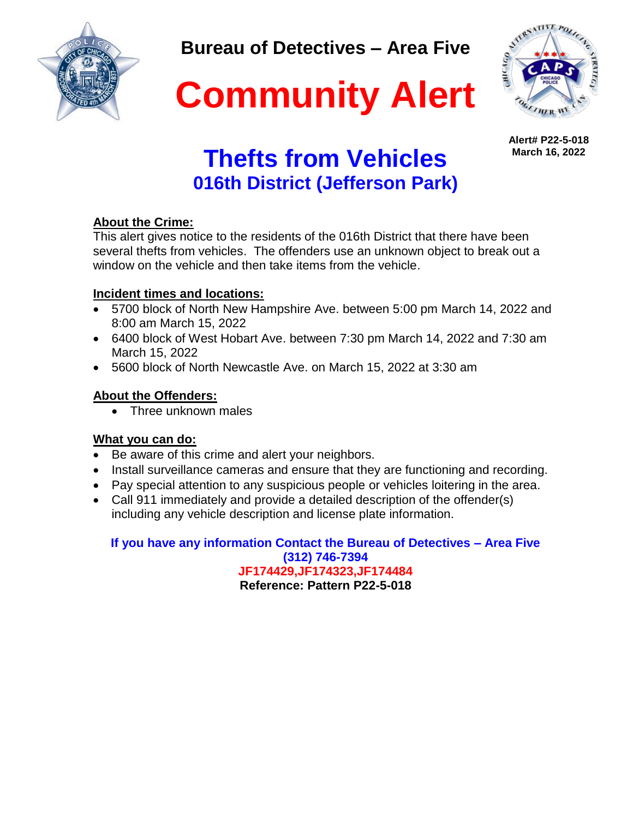

**Bureau of Detectives – Area Five**



**Alert# P22-5-018 March 16, 2022**

# **Community Alert**

## **Thefts from Vehicles 016th District (Jefferson Park)**

### **About the Crime:**

This alert gives notice to the residents of the 016th District that there have been several thefts from vehicles. The offenders use an unknown object to break out a window on the vehicle and then take items from the vehicle.

### **Incident times and locations:**

- 5700 block of North New Hampshire Ave. between 5:00 pm March 14, 2022 and 8:00 am March 15, 2022
- 6400 block of West Hobart Ave. between 7:30 pm March 14, 2022 and 7:30 am March 15, 2022
- 5600 block of North Newcastle Ave. on March 15, 2022 at 3:30 am

### **About the Offenders:**

• Three unknown males

### **What you can do:**

- Be aware of this crime and alert your neighbors.
- Install surveillance cameras and ensure that they are functioning and recording.
- Pay special attention to any suspicious people or vehicles loitering in the area.
- Call 911 immediately and provide a detailed description of the offender(s) including any vehicle description and license plate information.

**If you have any information Contact the Bureau of Detectives – Area Five (312) 746-7394 JF174429,JF174323,JF174484 Reference: Pattern P22-5-018**